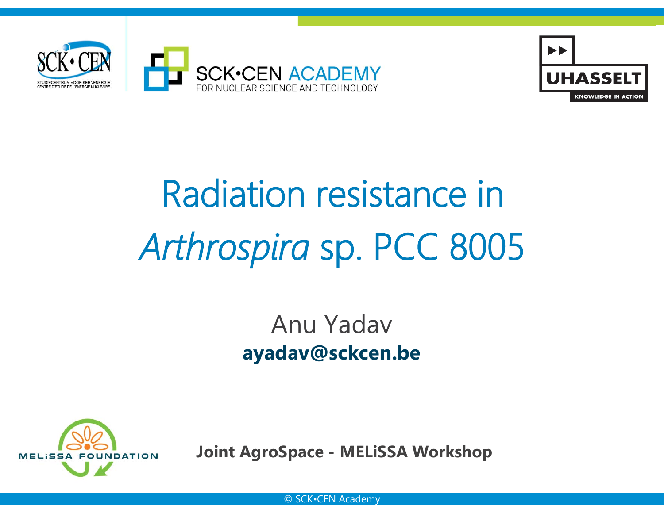



# Radiation resistance in*Arthrospira* sp. PCC 8005

# Anu Yadav**ayadav@sckcen.be**



**Joint AgroSpace - MELiSSA Workshop**

© SCK•CEN Academy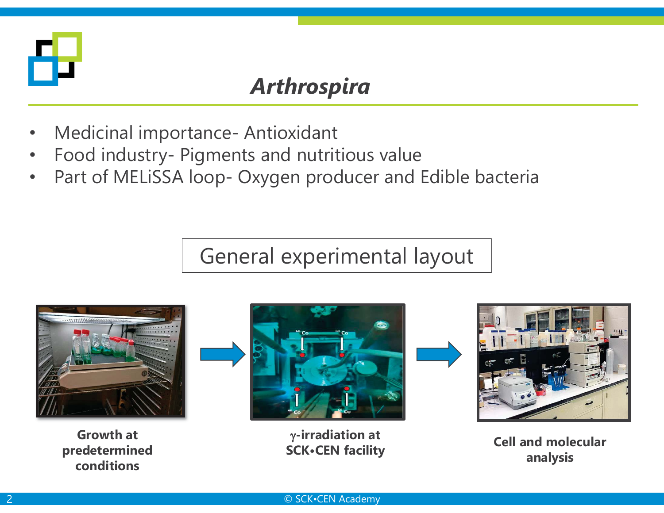

## *Arthrospira*

- •Medicinal importance- Antioxidant
- •Food industry- Pigments and nutritious value
- •Part of MELiSSA loop- Oxygen producer and Edible bacteria

# General experimental layout



**Growth at predetermined conditions**



J**-irradiation at SCK•CEN facility**





**Cell and molecular analysis**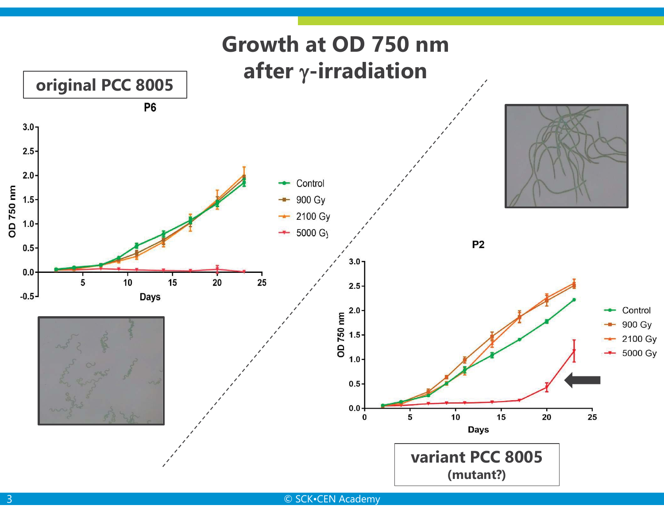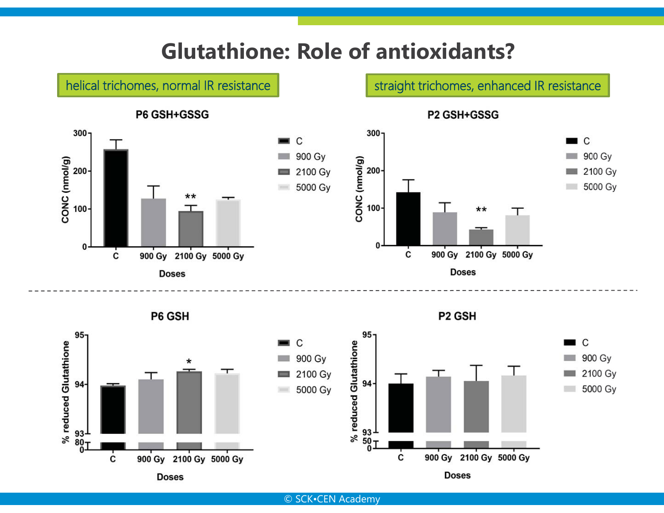## **Glutathione: Role of antioxidants?**





© SCK•CEN Academy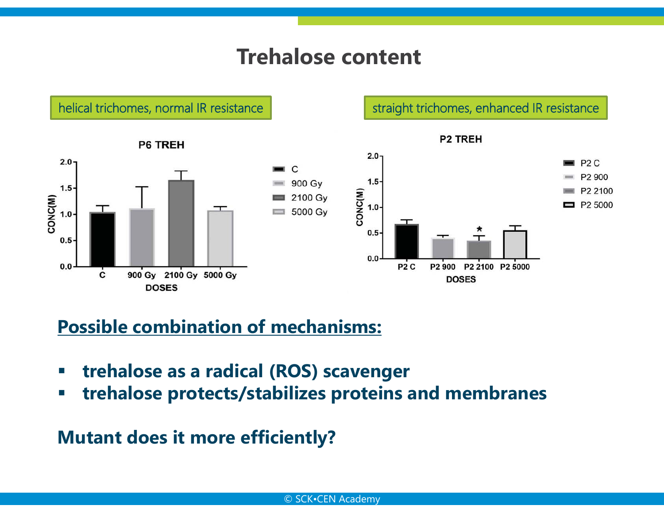### **Trehalose content**

helical trichomes, normal IR resistance | straight trichomes, enhanced IR resistance



#### **Possible combination of mechanisms:**

- $\Box$ **trehalose as a radical (ROS) scavenger**
- $\mathbb{R}^n$ **trehalose protects/stabilizes proteins and membranes**

**Mutant does it more efficiently?**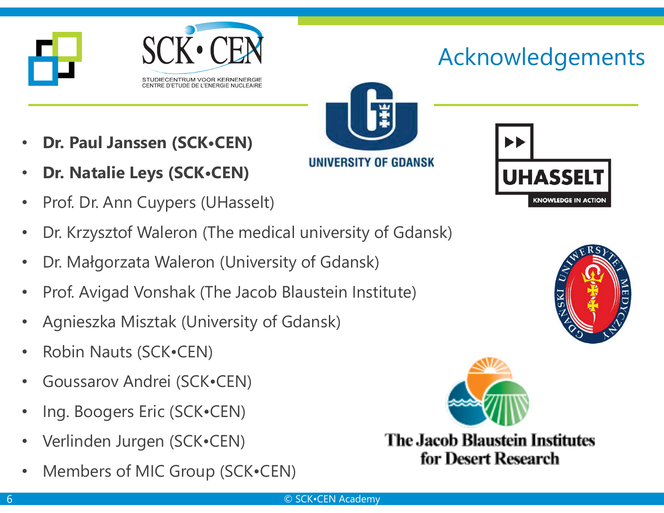

# Acknowledgements



- •**Dr. Paul Janssen (SCK•CEN)**
- •**Dr. Natalie Leys (SCK•CEN)**
- •Prof. Dr. Ann Cuypers (UHasselt)
- •Dr. Krzysztof Waleron (The medical university of Gdansk)
- •Dr. Małgorzata Waleron (University of Gdansk)
- •Prof. Avigad Vonshak (The Jacob Blaustein Institute)
- •Agnieszka Misztak (University of Gdansk)
- •Robin Nauts (SCK•CEN)
- •Goussarov Andrei (SCK•CEN)
- •Ing. Boogers Eric (SCK•CEN)
- •Verlinden Jurgen (SCK•CEN)
- •Members of MIC Group (SCK•CEN)







**The Jacob Blaustein Institutes** for Desert Research